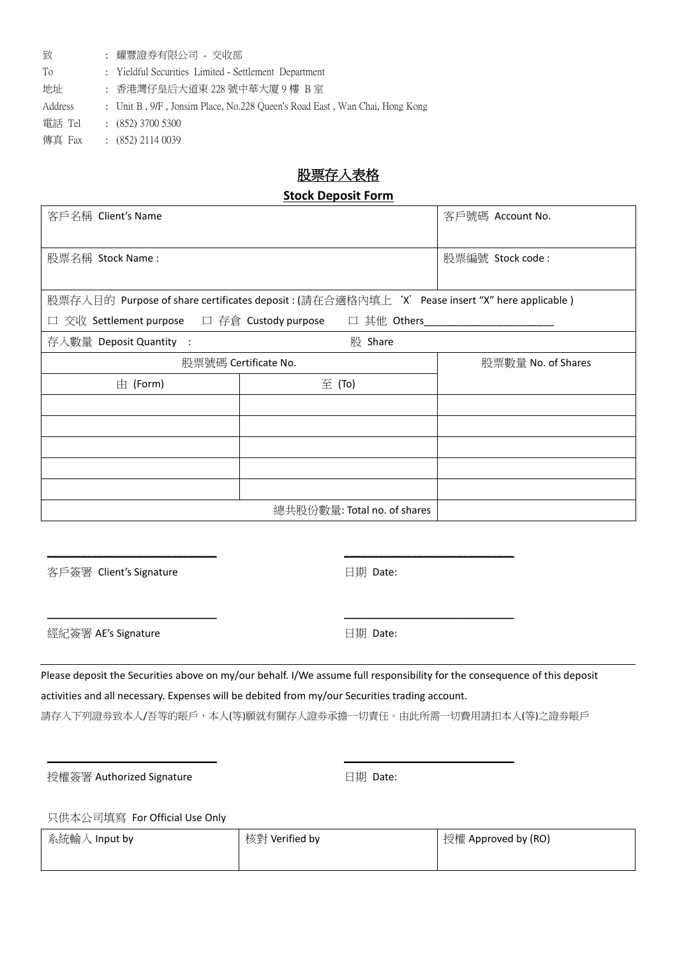| 致       | : 耀豐證券有限公司 - 交收部                                                           |
|---------|----------------------------------------------------------------------------|
| To      | : Yieldful Securities Limited - Settlement Department                      |
| 地址      | : 香港灣仔皇后大道東 228 號中華大廈 9 樓 B室                                               |
| Address | : Unit B, 9/F, Jonsim Place, No.228 Queen's Road East, Wan Chai, Hong Kong |
| 雷話 Tel  | $(852)$ 3700 5300                                                          |
| 傳真 Fax  | $(852)$ 2114 0039                                                          |

## 股票存入表格

## **Stock Deposit Form**

| 客戶名稱 Client's Name                                                                             | 客戶號碼 Account No.            |                    |  |  |  |  |  |  |  |  |
|------------------------------------------------------------------------------------------------|-----------------------------|--------------------|--|--|--|--|--|--|--|--|
|                                                                                                |                             |                    |  |  |  |  |  |  |  |  |
| 股票名稱 Stock Name:                                                                               |                             | 股票編號 Stock code:   |  |  |  |  |  |  |  |  |
|                                                                                                |                             |                    |  |  |  |  |  |  |  |  |
| 股票存入目的  Purpose of share certificates deposit : (請在合適格內填上'X'Pease insert "X" here applicable ) |                             |                    |  |  |  |  |  |  |  |  |
| □ 交收 Settlement purpose □ 存倉 Custody purpose □ 其他 Others                                       |                             |                    |  |  |  |  |  |  |  |  |
| 存入數量 Deposit Quantity :                                                                        | 股 Share                     |                    |  |  |  |  |  |  |  |  |
| 股票號碼 Certificate No.                                                                           |                             | 股票數量 No. of Shares |  |  |  |  |  |  |  |  |
| $\pm$ (Form)                                                                                   | $\Xi$ (To)                  |                    |  |  |  |  |  |  |  |  |
|                                                                                                |                             |                    |  |  |  |  |  |  |  |  |
|                                                                                                |                             |                    |  |  |  |  |  |  |  |  |
|                                                                                                |                             |                    |  |  |  |  |  |  |  |  |
|                                                                                                |                             |                    |  |  |  |  |  |  |  |  |
|                                                                                                |                             |                    |  |  |  |  |  |  |  |  |
|                                                                                                | 總共股份數量: Total no. of shares |                    |  |  |  |  |  |  |  |  |

客戶簽署 Client's Signature

**\_\_\_\_\_\_\_\_\_\_\_\_\_\_\_\_\_\_\_\_\_\_\_\_\_\_\_\_\_\_**

**\_\_\_\_\_\_\_\_\_\_\_\_\_\_\_\_\_\_\_\_\_\_\_\_\_\_\_\_\_\_**

日期 Date:

日期 Date:

**\_\_\_\_\_\_\_\_\_\_\_\_\_\_\_\_\_\_\_\_\_\_\_\_\_\_\_\_\_\_**

**\_\_\_\_\_\_\_\_\_\_\_\_\_\_\_\_\_\_\_\_\_\_\_\_\_\_\_\_\_\_**

**\_\_\_\_\_\_\_\_\_\_\_\_\_\_\_\_\_\_\_\_\_\_\_\_\_\_\_\_\_\_**

經紀簽署 AE's Signature

Please deposit the Securities above on my/our behalf. I/We assume full responsibility for the consequence of this deposit activities and all necessary. Expenses will be debited from my/our Securities trading account. 請存入下列證券致本人/吾等的賬戶,本人(等)願就有關存人證券承擔一切責任。由此所需一切費用請扣本人(等)之證券賬戶

授權簽署 Authorized Signature

**\_\_\_\_\_\_\_\_\_\_\_\_\_\_\_\_\_\_\_\_\_\_\_\_\_\_\_\_\_\_**

日期 Date:

只供本公司填寫 For Official Use Only

| 系統輸入 Input by | 核對 Verified by | 授權 Approved by (RO) |
|---------------|----------------|---------------------|
|               |                |                     |